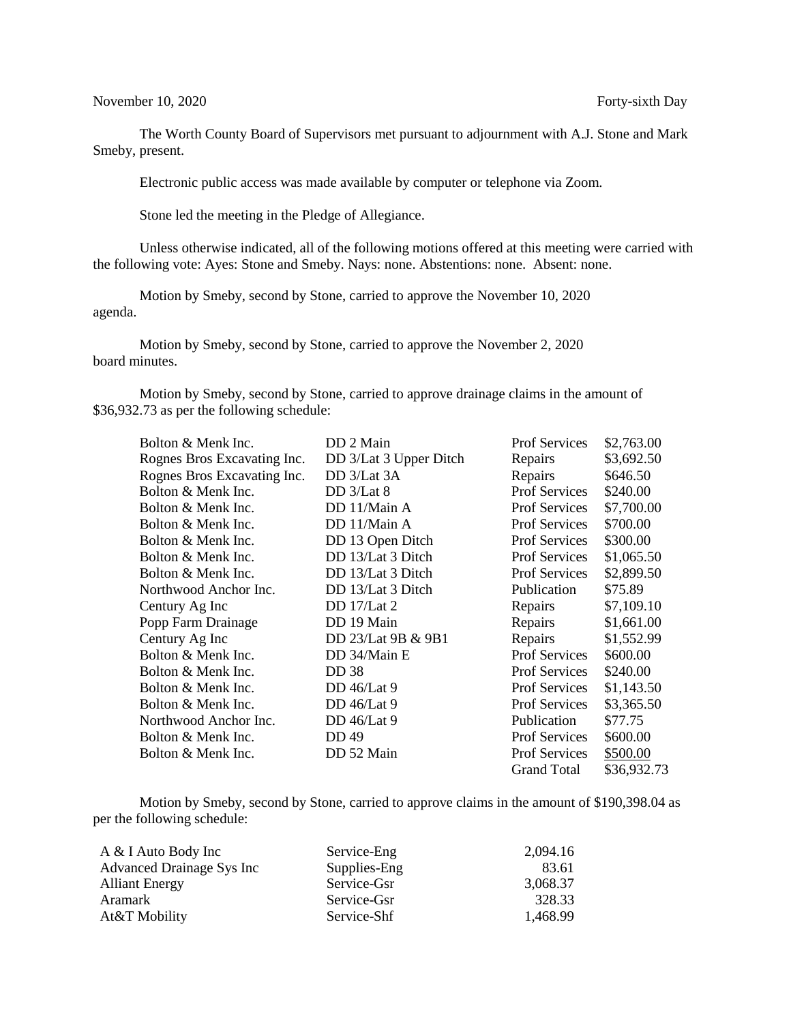November 10, 2020 Forty-sixth Day

The Worth County Board of Supervisors met pursuant to adjournment with A.J. Stone and Mark Smeby, present.

Electronic public access was made available by computer or telephone via Zoom.

Stone led the meeting in the Pledge of Allegiance.

Unless otherwise indicated, all of the following motions offered at this meeting were carried with the following vote: Ayes: Stone and Smeby. Nays: none. Abstentions: none. Absent: none.

Motion by Smeby, second by Stone, carried to approve the November 10, 2020 agenda.

Motion by Smeby, second by Stone, carried to approve the November 2, 2020 board minutes.

Motion by Smeby, second by Stone, carried to approve drainage claims in the amount of \$36,932.73 as per the following schedule:

| Bolton & Menk Inc.          | DD 2 Main              | <b>Prof Services</b> | \$2,763.00  |
|-----------------------------|------------------------|----------------------|-------------|
| Rognes Bros Excavating Inc. | DD 3/Lat 3 Upper Ditch | Repairs              | \$3,692.50  |
| Rognes Bros Excavating Inc. | DD 3/Lat 3A            | Repairs              | \$646.50    |
| Bolton & Menk Inc.          | DD $3/Lat 8$           | Prof Services        | \$240.00    |
| Bolton & Menk Inc.          | DD 11/Main A           | <b>Prof Services</b> | \$7,700.00  |
| Bolton & Menk Inc.          | DD 11/Main A           | <b>Prof Services</b> | \$700.00    |
| Bolton & Menk Inc.          | DD 13 Open Ditch       | <b>Prof Services</b> | \$300.00    |
| Bolton & Menk Inc.          | DD 13/Lat 3 Ditch      | <b>Prof Services</b> | \$1,065.50  |
| Bolton & Menk Inc.          | DD 13/Lat 3 Ditch      | Prof Services        | \$2,899.50  |
| Northwood Anchor Inc.       | DD 13/Lat 3 Ditch      | Publication          | \$75.89     |
| Century Ag Inc              | DD $17/Lat$ 2          | Repairs              | \$7,109.10  |
| Popp Farm Drainage          | DD 19 Main             | Repairs              | \$1,661.00  |
| Century Ag Inc              | DD 23/Lat 9B & 9B1     | Repairs              | \$1,552.99  |
| Bolton & Menk Inc.          | DD 34/Main E           | <b>Prof Services</b> | \$600.00    |
| Bolton & Menk Inc.          | DD 38                  | Prof Services        | \$240.00    |
| Bolton & Menk Inc.          | DD $46/Lat$ 9          | <b>Prof Services</b> | \$1,143.50  |
| Bolton & Menk Inc.          | DD 46/Lat 9            | <b>Prof Services</b> | \$3,365.50  |
| Northwood Anchor Inc.       | DD 46/Lat 9            | Publication          | \$77.75     |
| Bolton & Menk Inc.          | DD 49                  | <b>Prof Services</b> | \$600.00    |
| Bolton & Menk Inc.          | DD 52 Main             | Prof Services        | \$500.00    |
|                             |                        | <b>Grand Total</b>   | \$36,932.73 |

Motion by Smeby, second by Stone, carried to approve claims in the amount of \$190,398.04 as per the following schedule:

| A & I Auto Body Inc       | Service-Eng  | 2,094.16 |
|---------------------------|--------------|----------|
| Advanced Drainage Sys Inc | Supplies-Eng | 83.61    |
| <b>Alliant Energy</b>     | Service-Gsr  | 3,068.37 |
| Aramark                   | Service-Gsr  | 328.33   |
| At&T Mobility             | Service-Shf  | 1,468.99 |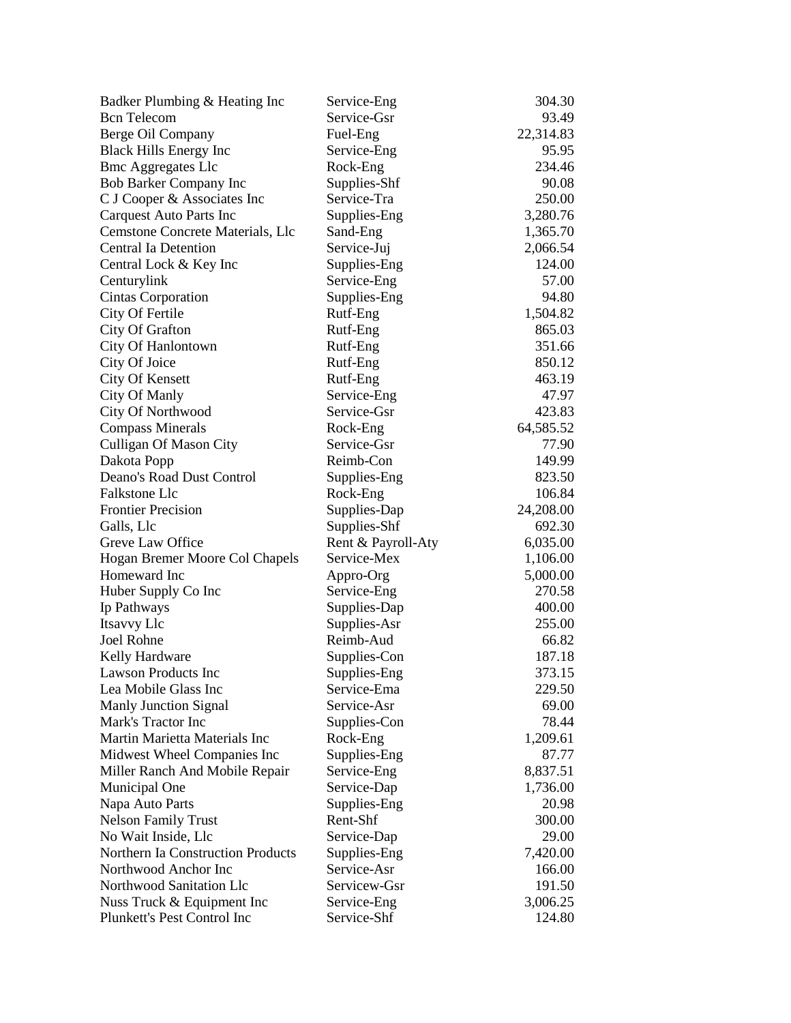| Badker Plumbing & Heating Inc     | Service-Eng        | 304.30    |
|-----------------------------------|--------------------|-----------|
| <b>Bcn</b> Telecom                | Service-Gsr        | 93.49     |
| Berge Oil Company                 | Fuel-Eng           | 22,314.83 |
| <b>Black Hills Energy Inc</b>     | Service-Eng        | 95.95     |
| <b>Bmc Aggregates Llc</b>         | Rock-Eng           | 234.46    |
| Bob Barker Company Inc            | Supplies-Shf       | 90.08     |
| C J Cooper & Associates Inc       | Service-Tra        | 250.00    |
| <b>Carquest Auto Parts Inc</b>    | Supplies-Eng       | 3,280.76  |
| Cemstone Concrete Materials, Llc  | Sand-Eng           | 1,365.70  |
| <b>Central Ia Detention</b>       | Service-Juj        | 2,066.54  |
| Central Lock & Key Inc            | Supplies-Eng       | 124.00    |
| Centurylink                       | Service-Eng        | 57.00     |
| Cintas Corporation                | Supplies-Eng       | 94.80     |
| City Of Fertile                   | Rutf-Eng           | 1,504.82  |
| City Of Grafton                   | Rutf-Eng           | 865.03    |
| City Of Hanlontown                | Rutf-Eng           | 351.66    |
| City Of Joice                     | Rutf-Eng           | 850.12    |
| City Of Kensett                   | Rutf-Eng           | 463.19    |
| City Of Manly                     | Service-Eng        | 47.97     |
| City Of Northwood                 | Service-Gsr        | 423.83    |
| <b>Compass Minerals</b>           | Rock-Eng           | 64,585.52 |
| Culligan Of Mason City            | Service-Gsr        | 77.90     |
| Dakota Popp                       | Reimb-Con          | 149.99    |
| Deano's Road Dust Control         | Supplies-Eng       | 823.50    |
| Falkstone Llc                     | Rock-Eng           | 106.84    |
| <b>Frontier Precision</b>         | Supplies-Dap       | 24,208.00 |
| Galls, Llc                        | Supplies-Shf       | 692.30    |
| Greve Law Office                  | Rent & Payroll-Aty | 6,035.00  |
| Hogan Bremer Moore Col Chapels    | Service-Mex        | 1,106.00  |
| Homeward Inc                      | Appro-Org          | 5,000.00  |
| Huber Supply Co Inc               | Service-Eng        | 270.58    |
| Ip Pathways                       | Supplies-Dap       | 400.00    |
| Itsavvy Llc                       | Supplies-Asr       | 255.00    |
| Joel Rohne                        | Reimb-Aud          | 66.82     |
| Kelly Hardware                    | Supplies-Con       | 187.18    |
| Lawson Products Inc               | Supplies-Eng       | 373.15    |
| Lea Mobile Glass Inc              | Service-Ema        | 229.50    |
| <b>Manly Junction Signal</b>      | Service-Asr        | 69.00     |
| Mark's Tractor Inc                | Supplies-Con       | 78.44     |
| Martin Marietta Materials Inc     | Rock-Eng           | 1,209.61  |
| Midwest Wheel Companies Inc       | Supplies-Eng       | 87.77     |
| Miller Ranch And Mobile Repair    | Service-Eng        | 8,837.51  |
| Municipal One                     | Service-Dap        | 1,736.00  |
| Napa Auto Parts                   | Supplies-Eng       | 20.98     |
| <b>Nelson Family Trust</b>        | Rent-Shf           | 300.00    |
| No Wait Inside, Llc               | Service-Dap        | 29.00     |
| Northern Ia Construction Products | Supplies-Eng       | 7,420.00  |
| Northwood Anchor Inc              | Service-Asr        | 166.00    |
| Northwood Sanitation Llc          | Servicew-Gsr       | 191.50    |
| Nuss Truck & Equipment Inc        | Service-Eng        | 3,006.25  |
| Plunkett's Pest Control Inc       | Service-Shf        | 124.80    |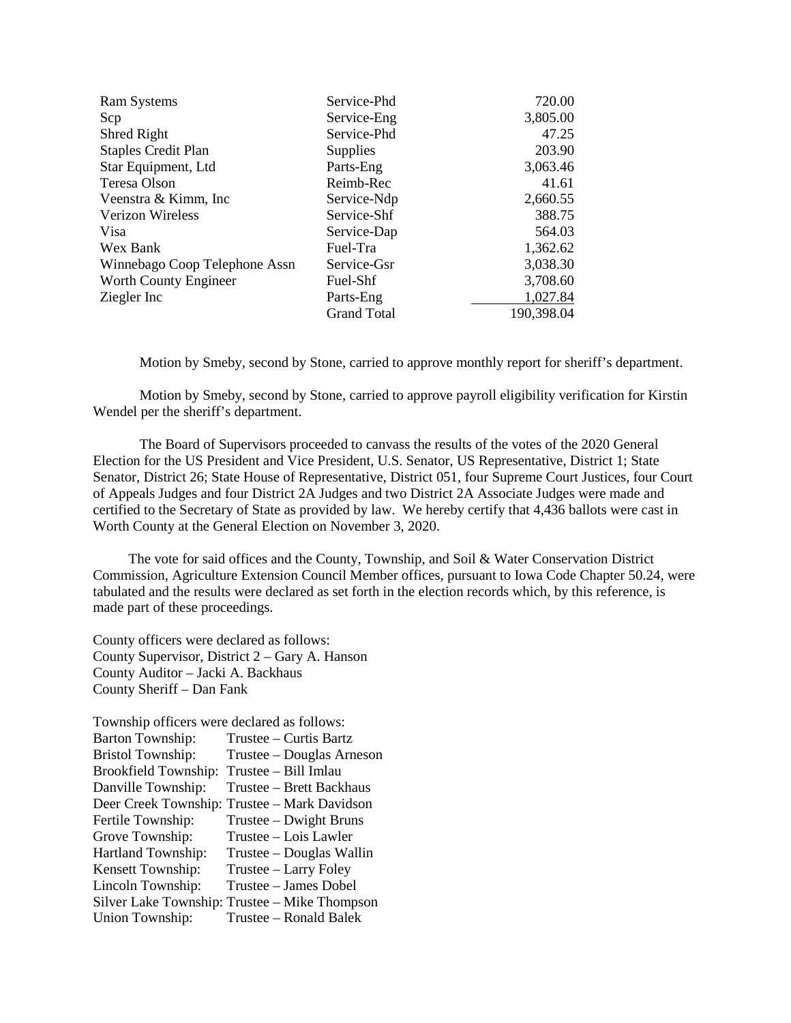| <b>Ram Systems</b>            | Service-Phd        | 720.00     |
|-------------------------------|--------------------|------------|
| Scp                           | Service-Eng        | 3,805.00   |
| Shred Right                   | Service-Phd        | 47.25      |
| <b>Staples Credit Plan</b>    | <b>Supplies</b>    | 203.90     |
| Star Equipment, Ltd           | Parts-Eng          | 3,063.46   |
| Teresa Olson                  | Reimb-Rec          | 41.61      |
| Veenstra & Kimm, Inc.         | Service-Ndp        | 2,660.55   |
| Verizon Wireless              | Service-Shf        | 388.75     |
| <b>Visa</b>                   | Service-Dap        | 564.03     |
| Wex Bank                      | Fuel-Tra           | 1,362.62   |
| Winnebago Coop Telephone Assn | Service-Gsr        | 3,038.30   |
| Worth County Engineer         | Fuel-Shf           | 3,708.60   |
| Ziegler Inc                   | Parts-Eng          | 1,027.84   |
|                               | <b>Grand Total</b> | 190,398.04 |

Motion by Smeby, second by Stone, carried to approve monthly report for sheriff's department.

Motion by Smeby, second by Stone, carried to approve payroll eligibility verification for Kirstin Wendel per the sheriff's department.

The Board of Supervisors proceeded to canvass the results of the votes of the 2020 General Election for the US President and Vice President, U.S. Senator, US Representative, District 1; State Senator, District 26; State House of Representative, District 051, four Supreme Court Justices, four Court of Appeals Judges and four District 2A Judges and two District 2A Associate Judges were made and certified to the Secretary of State as provided by law. We hereby certify that 4,436 ballots were cast in Worth County at the General Election on November 3, 2020.

 The vote for said offices and the County, Township, and Soil & Water Conservation District Commission, Agriculture Extension Council Member offices, pursuant to Iowa Code Chapter 50.24, were tabulated and the results were declared as set forth in the election records which, by this reference, is made part of these proceedings.

County officers were declared as follows: County Supervisor, District 2 – Gary A. Hanson County Auditor – Jacki A. Backhaus County Sheriff – Dan Fank

Township officers were declared as follows:

| Trustee – Curtis Bartz                        |
|-----------------------------------------------|
| Trustee – Douglas Arneson                     |
| Trustee - Bill Imlau                          |
| Trustee - Brett Backhaus                      |
| Deer Creek Township: Trustee – Mark Davidson  |
| Trustee – Dwight Bruns                        |
| Trustee – Lois Lawler                         |
| Trustee – Douglas Wallin                      |
| Trustee – Larry Foley                         |
| Trustee - James Dobel                         |
| Silver Lake Township: Trustee – Mike Thompson |
| Trustee – Ronald Balek                        |
|                                               |